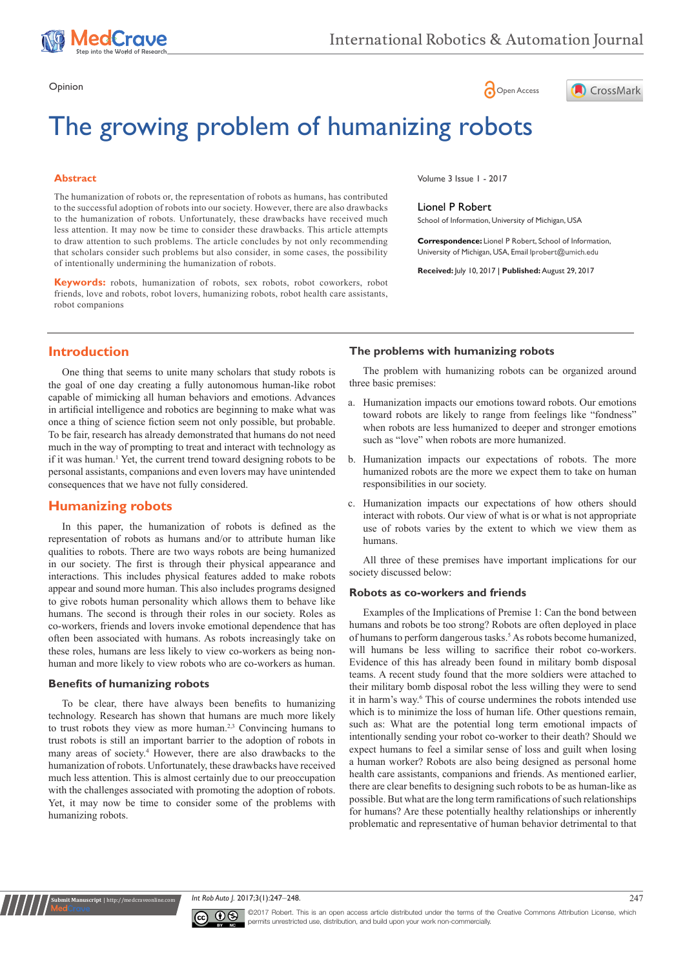

# Opinion **Community Community Community Community** Community Community Community Community Community Community Community Community Community Community Community Community Community Community Community Community Community Co



# The growing problem of humanizing robots

### **Abstract**

The humanization of robots or, the representation of robots as humans, has contributed to the successful adoption of robots into our society. However, there are also drawbacks to the humanization of robots. Unfortunately, these drawbacks have received much less attention. It may now be time to consider these drawbacks. This article attempts to draw attention to such problems. The article concludes by not only recommending that scholars consider such problems but also consider, in some cases, the possibility of intentionally undermining the humanization of robots.

**Keywords:** robots, humanization of robots, sex robots, robot coworkers, robot friends, love and robots, robot lovers, humanizing robots, robot health care assistants, robot companions

Volume 3 Issue 1 - 2017

#### Lionel P Robert

School of Information, University of Michigan, USA

**Correspondence:** Lionel P Robert, School of Information, University of Michigan, USA, Email Iprobert@umich.edu

**Received:** July 10, 2017 | **Published:** August 29, 2017

# **Introduction**

One thing that seems to unite many scholars that study robots is the goal of one day creating a fully autonomous human-like robot capable of mimicking all human behaviors and emotions. Advances in artificial intelligence and robotics are beginning to make what was once a thing of science fiction seem not only possible, but probable. To be fair, research has already demonstrated that humans do not need much in the way of prompting to treat and interact with technology as if it was human.<sup>1</sup> Yet, the current trend toward designing robots to be personal assistants, companions and even lovers may have unintended consequences that we have not fully considered.

# **Humanizing robots**

In this paper, the humanization of robots is defined as the representation of robots as humans and/or to attribute human like qualities to robots. There are two ways robots are being humanized in our society. The first is through their physical appearance and interactions. This includes physical features added to make robots appear and sound more human. This also includes programs designed to give robots human personality which allows them to behave like humans. The second is through their roles in our society. Roles as co-workers, friends and lovers invoke emotional dependence that has often been associated with humans. As robots increasingly take on these roles, humans are less likely to view co-workers as being nonhuman and more likely to view robots who are co-workers as human.

#### **Benefits of humanizing robots**

**it Manuscript** | http://medcr

To be clear, there have always been benefits to humanizing technology. Research has shown that humans are much more likely to trust robots they view as more human.<sup>2,3</sup> Convincing humans to trust robots is still an important barrier to the adoption of robots in many areas of society.<sup>4</sup> However, there are also drawbacks to the humanization of robots. Unfortunately, these drawbacks have received much less attention. This is almost certainly due to our preoccupation with the challenges associated with promoting the adoption of robots. Yet, it may now be time to consider some of the problems with humanizing robots.

## **The problems with humanizing robots**

The problem with humanizing robots can be organized around three basic premises:

- a. Humanization impacts our emotions toward robots. Our emotions toward robots are likely to range from feelings like "fondness" when robots are less humanized to deeper and stronger emotions such as "love" when robots are more humanized.
- b. Humanization impacts our expectations of robots. The more humanized robots are the more we expect them to take on human responsibilities in our society.
- c. Humanization impacts our expectations of how others should interact with robots. Our view of what is or what is not appropriate use of robots varies by the extent to which we view them as humans.

All three of these premises have important implications for our society discussed below:

#### **Robots as co-workers and friends**

Examples of the Implications of Premise 1: Can the bond between humans and robots be too strong? Robots are often deployed in place of humans to perform dangerous tasks.<sup>5</sup> As robots become humanized, will humans be less willing to sacrifice their robot co-workers. Evidence of this has already been found in military bomb disposal teams. A recent study found that the more soldiers were attached to their military bomb disposal robot the less willing they were to send it in harm's way.<sup>6</sup> This of course undermines the robots intended use which is to minimize the loss of human life. Other questions remain, such as: What are the potential long term emotional impacts of intentionally sending your robot co-worker to their death? Should we expect humans to feel a similar sense of loss and guilt when losing a human worker? Robots are also being designed as personal home health care assistants, companions and friends. As mentioned earlier, there are clear benefits to designing such robots to be as human-like as possible. But what are the long term ramifications of such relationships for humans? Are these potentially healthy relationships or inherently problematic and representative of human behavior detrimental to that





©2017 Robert. This is an open access article distributed under the terms of the [Creative Commons Attribution License,](https://creativecommons.org/licenses/by-nc/4.0/) which permits unrestricted use, distribution, and build upon your work non-commercially.